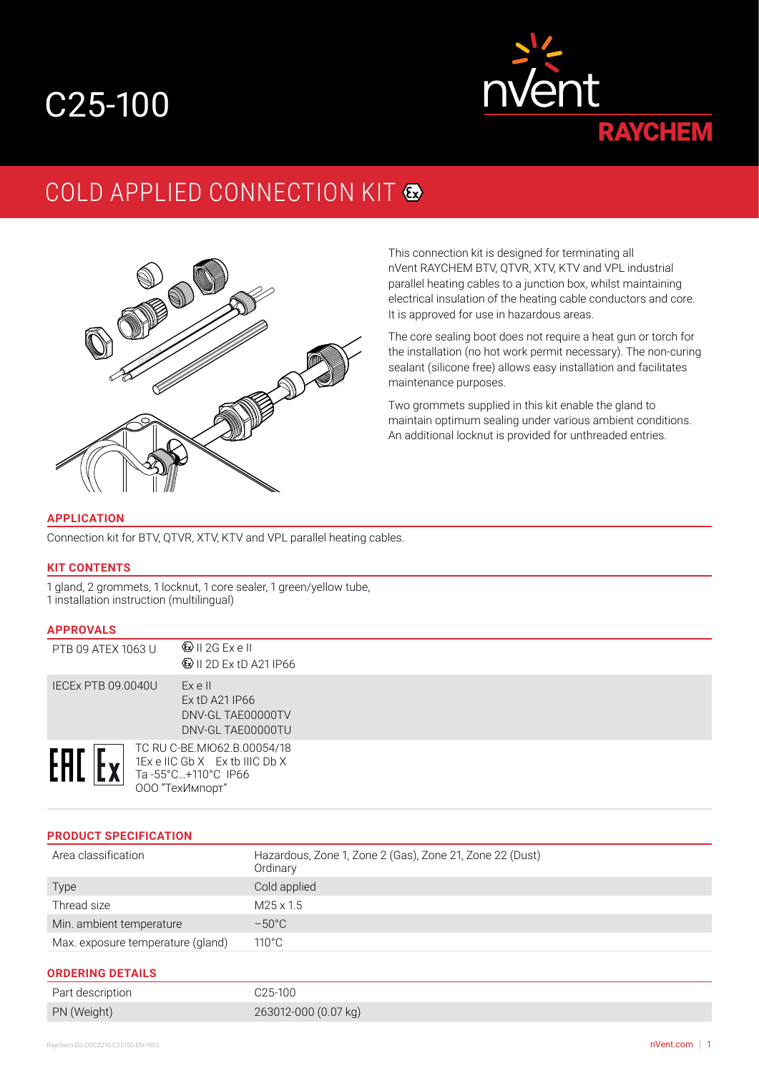# C25-100



# COLD APPLIED CONNECTION KIT  $\bullet$



This connection kit is designed for terminating all nVent RAYCHEM BTV, QTVR, XTV, KTV and VPL industrial parallel heating cables to a junction box, whilst maintaining electrical insulation of the heating cable conductors and core. It is approved for use in hazardous areas.

The core sealing boot does not require a heat gun or torch for the installation (no hot work permit necessary). The non-curing sealant (silicone free) allows easy installation and facilitates maintenance purposes.

Two grommets supplied in this kit enable the gland to maintain optimum sealing under various ambient conditions. An additional locknut is provided for unthreaded entries.

#### **APPLICATION**

Connection kit for BTV, QTVR, XTV, KTV and VPL parallel heating cables.

#### **KIT CONTENTS**

1 gland, 2 grommets, 1 locknut, 1 core sealer, 1 green/yellow tube, 1 installation instruction (multilingual)

#### **APPROVALS**

| .                         |                                                                                                        |  |
|---------------------------|--------------------------------------------------------------------------------------------------------|--|
| PTB 09 ATEX 1063 U        | $\mathbb{Q}$ II 2G Exell<br><b>۞ II 2D Ex tD A21 IP66</b>                                              |  |
| <b>IECEX PTB 09.0040U</b> | Ex e II<br>Ex tD A21 IP66<br>DNV-GL TAE00000TV<br>DNV-GL TAE00000TU                                    |  |
| EAL                       | TC RU C-BE.MI062.B.00054/18<br>1Ex e IIC Gb X Ex tb IIIC Db X<br>Ta-55°C+110°C IP66<br>ООО "ТехИмпорт" |  |

#### **PRODUCT SPECIFICATION**

| Area classification               | Hazardous, Zone 1, Zone 2 (Gas), Zone 21, Zone 22 (Dust)<br>Ordinary |
|-----------------------------------|----------------------------------------------------------------------|
| Type                              | Cold applied                                                         |
| Thread size                       | $M25 \times 1.5$                                                     |
| Min. ambient temperature          | $-50^{\circ}$ C                                                      |
| Max. exposure temperature (gland) | $110^{\circ}$ C                                                      |

#### **ORDERING DETAILS**

| Part description | C25-100              |
|------------------|----------------------|
| PN (Weight)      | 263012-000 (0.07 kg) |